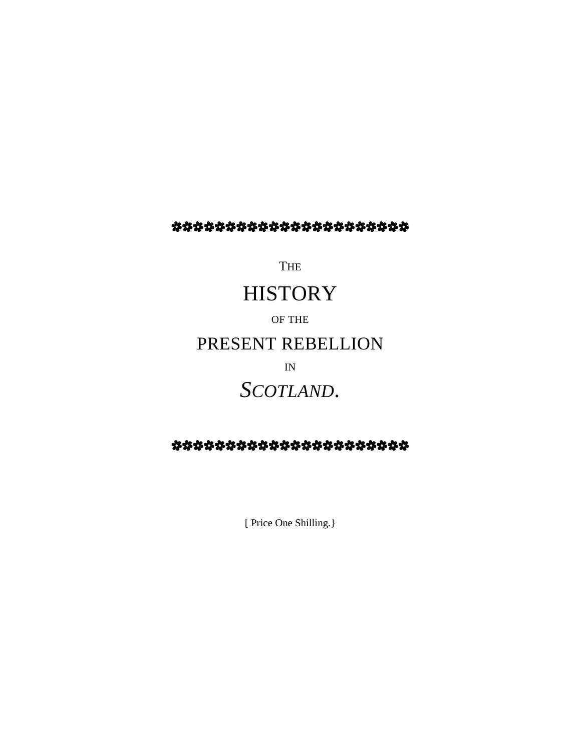### \*\*\*\*\*\*\*\*\*\*\*\*\*\*\*\*\*\*\*\*

**THE** 

# **HISTORY**

OF THE PRESENT REBELLION

IN

# *SCOTLAND*.

## \*\*\*\*\*\*\*\*\*\*\*\*\*\*\*\*\*\*\*\*

[ Price One Shilling.}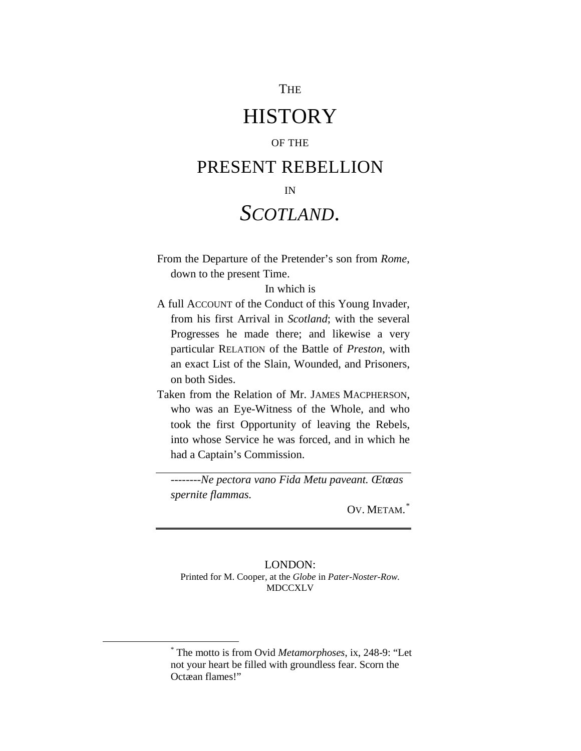#### THE

## **HISTORY**

#### OF THE

## PRESENT REBELLION

#### IN

# *SCOTLAND*.

From the Departure of the Pretender's son from *Rome*, down to the present Time.

#### In which is

- A full ACCOUNT of the Conduct of this Young Invader, from his first Arrival in *Scotland*; with the several Progresses he made there; and likewise a very particular RELATION of the Battle of *Preston*, with an exact List of the Slain, Wounded, and Prisoners, on both Sides.
- Taken from the Relation of Mr. JAMES MACPHERSON, who was an Eye-Witness of the Whole, and who took the first Opportunity of leaving the Rebels, into whose Service he was forced, and in which he had a Captain's Commission.

--------*Ne pectora vano Fida Metu paveant. Œtœas spernite flammas.*

OV. METAM.<sup>[\\*](#page-1-0)</sup>

#### LONDON: Printed for M. Cooper, at the *Globe* in *Pater-Noster-Row.*  MDCCXLV

<span id="page-1-0"></span> $\overline{\phantom{a}}$ 

<sup>\*</sup> The motto is from Ovid *Metamorphoses*, ix, 248-9: "Let not your heart be filled with groundless fear. Scorn the Octæan flames!"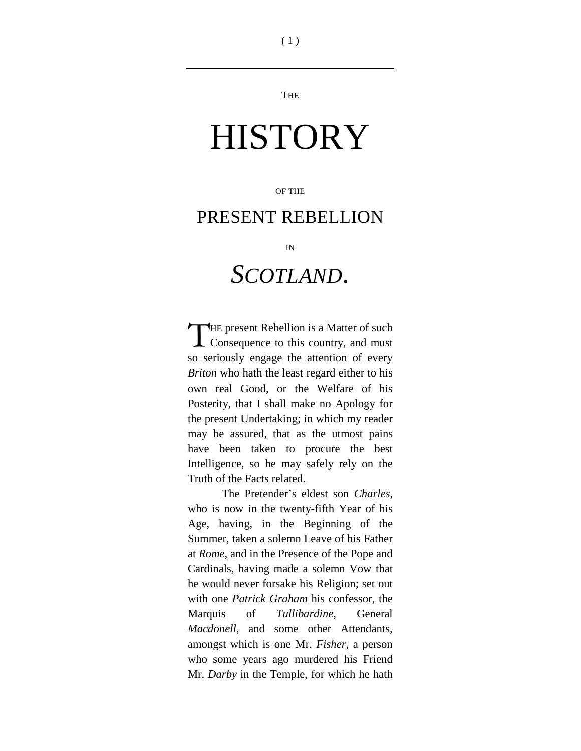**THE** 

# **HISTORY**

OF THE

## PRESENT REBELLION

IN

# *SCOTLAND*.

HE present Rebellion is a Matter of such THE present Rebellion is a Matter of such<br>
Consequence to this country, and must so seriously engage the attention of every *Briton* who hath the least regard either to his own real Good, or the Welfare of his Posterity, that I shall make no Apology for the present Undertaking; in which my reader may be assured, that as the utmost pains have been taken to procure the best Intelligence, so he may safely rely on the Truth of the Facts related.

The Pretender's eldest son *Charles*, who is now in the twenty-fifth Year of his Age, having, in the Beginning of the Summer, taken a solemn Leave of his Father at *Rome*, and in the Presence of the Pope and Cardinals, having made a solemn Vow that he would never forsake his Religion; set out with one *Patrick Graham* his confessor, the Marquis of *Tullibardine*, General *Macdonell*, and some other Attendants, amongst which is one Mr. *Fisher*, a person who some years ago murdered his Friend Mr. *Darby* in the Temple, for which he hath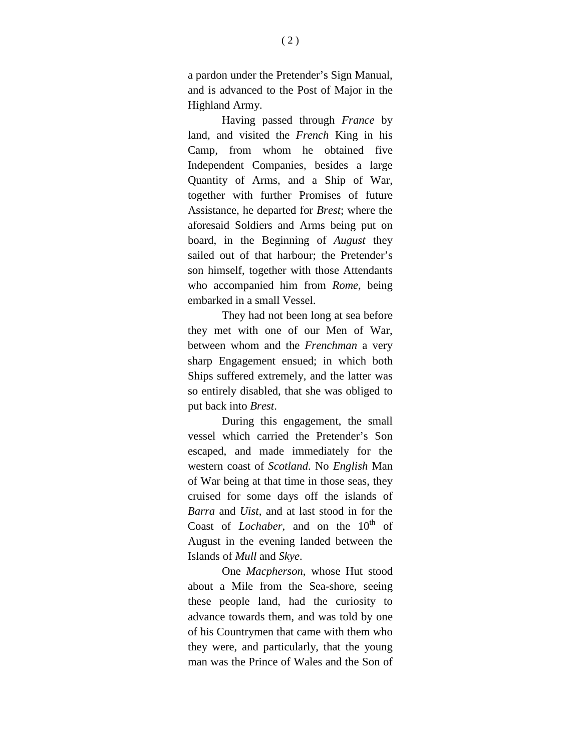a pardon under the Pretender's Sign Manual, and is advanced to the Post of Major in the Highland Army.

Having passed through *France* by land, and visited the *French* King in his Camp, from whom he obtained five Independent Companies, besides a large Quantity of Arms, and a Ship of War, together with further Promises of future Assistance, he departed for *Brest*; where the aforesaid Soldiers and Arms being put on board, in the Beginning of *August* they sailed out of that harbour; the Pretender's son himself, together with those Attendants who accompanied him from *Rome*, being embarked in a small Vessel.

They had not been long at sea before they met with one of our Men of War, between whom and the *Frenchman* a very sharp Engagement ensued; in which both Ships suffered extremely, and the latter was so entirely disabled, that she was obliged to put back into *Brest*.

During this engagement, the small vessel which carried the Pretender's Son escaped, and made immediately for the western coast of *Scotland*. No *English* Man of War being at that time in those seas, they cruised for some days off the islands of *Barra* and *Uist*, and at last stood in for the Coast of *Lochaber*, and on the 10<sup>th</sup> of August in the evening landed between the Islands of *Mull* and *Skye*.

One *Macpherson*, whose Hut stood about a Mile from the Sea-shore, seeing these people land, had the curiosity to advance towards them, and was told by one of his Countrymen that came with them who they were, and particularly, that the young man was the Prince of Wales and the Son of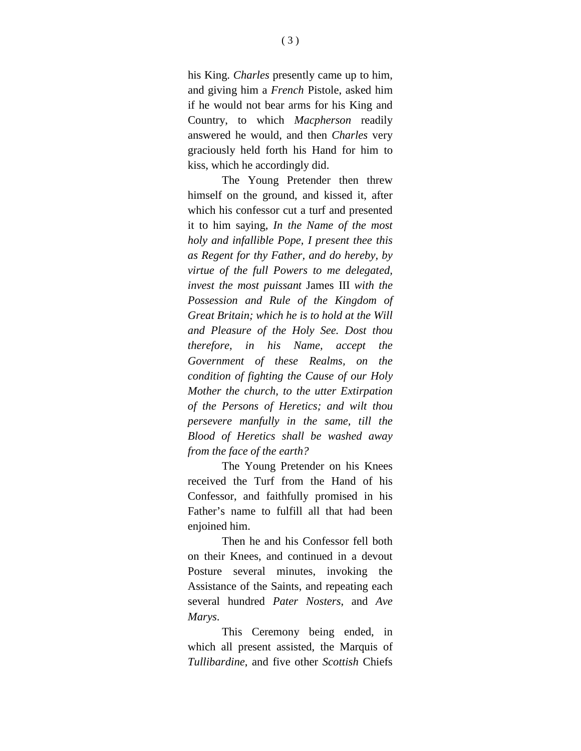his King. *Charles* presently came up to him, and giving him a *French* Pistole, asked him if he would not bear arms for his King and Country, to which *Macpherson* readily answered he would, and then *Charles* very graciously held forth his Hand for him to kiss, which he accordingly did.

The Young Pretender then threw himself on the ground, and kissed it, after which his confessor cut a turf and presented it to him saying, *In the Name of the most holy and infallible Pope, I present thee this as Regent for thy Father, and do hereby, by virtue of the full Powers to me delegated, invest the most puissant* James III *with the Possession and Rule of the Kingdom of Great Britain; which he is to hold at the Will and Pleasure of the Holy See. Dost thou therefore, in his Name, accept the Government of these Realms, on the condition of fighting the Cause of our Holy Mother the church, to the utter Extirpation of the Persons of Heretics; and wilt thou persevere manfully in the same, till the Blood of Heretics shall be washed away from the face of the earth?*

The Young Pretender on his Knees received the Turf from the Hand of his Confessor, and faithfully promised in his Father's name to fulfill all that had been enjoined him.

Then he and his Confessor fell both on their Knees, and continued in a devout Posture several minutes, invoking the Assistance of the Saints, and repeating each several hundred *Pater Nosters*, and *Ave Marys*.

This Ceremony being ended, in which all present assisted, the Marquis of *Tullibardine*, and five other *Scottish* Chiefs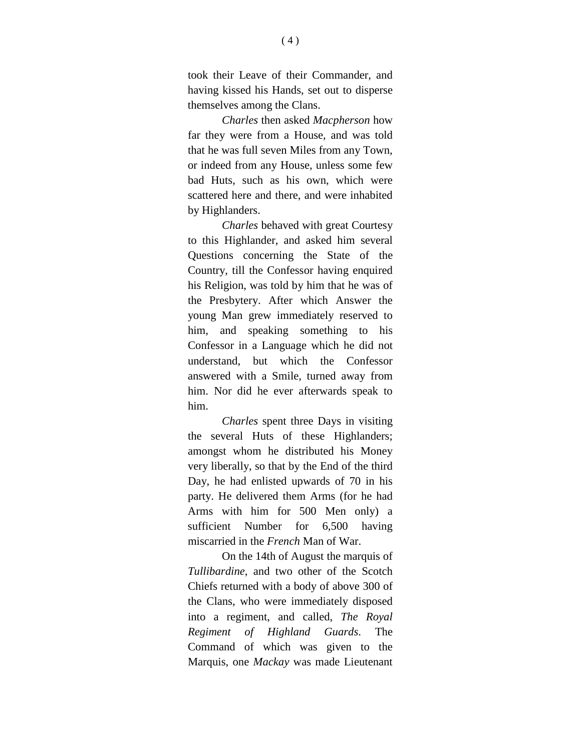took their Leave of their Commander, and having kissed his Hands, set out to disperse themselves among the Clans.

*Charles* then asked *Macpherson* how far they were from a House, and was told that he was full seven Miles from any Town, or indeed from any House, unless some few bad Huts, such as his own, which were scattered here and there, and were inhabited by Highlanders.

*Charles* behaved with great Courtesy to this Highlander, and asked him several Questions concerning the State of the Country, till the Confessor having enquired his Religion, was told by him that he was of the Presbytery. After which Answer the young Man grew immediately reserved to him, and speaking something to his Confessor in a Language which he did not understand, but which the Confessor answered with a Smile, turned away from him. Nor did he ever afterwards speak to him.

*Charles* spent three Days in visiting the several Huts of these Highlanders; amongst whom he distributed his Money very liberally, so that by the End of the third Day, he had enlisted upwards of 70 in his party. He delivered them Arms (for he had Arms with him for 500 Men only) a sufficient Number for 6,500 having miscarried in the *French* Man of War.

On the 14th of August the marquis of *Tullibardine*, and two other of the Scotch Chiefs returned with a body of above 300 of the Clans, who were immediately disposed into a regiment, and called, *The Royal Regiment of Highland Guards*. The Command of which was given to the Marquis, one *Mackay* was made Lieutenant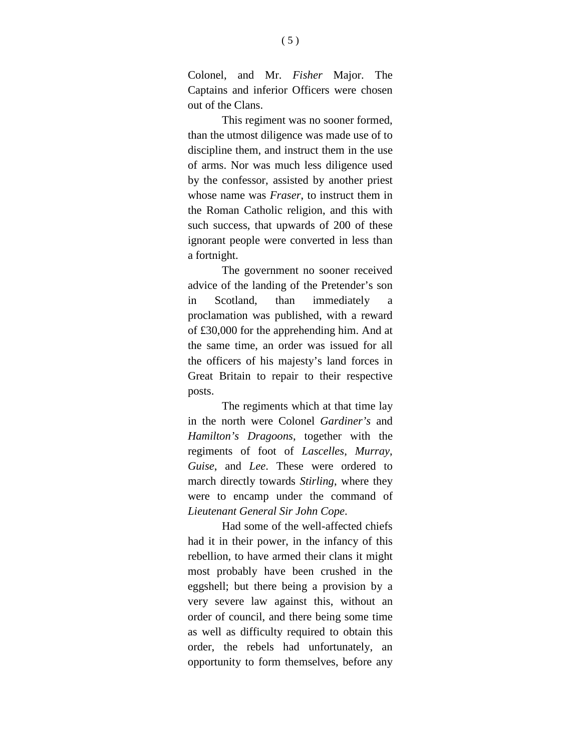Colonel, and Mr. *Fisher* Major. The Captains and inferior Officers were chosen out of the Clans.

This regiment was no sooner formed, than the utmost diligence was made use of to discipline them, and instruct them in the use of arms. Nor was much less diligence used by the confessor, assisted by another priest whose name was *Fraser*, to instruct them in the Roman Catholic religion, and this with such success, that upwards of 200 of these ignorant people were converted in less than a fortnight.

The government no sooner received advice of the landing of the Pretender's son in Scotland, than immediately a proclamation was published, with a reward of £30,000 for the apprehending him. And at the same time, an order was issued for all the officers of his majesty's land forces in Great Britain to repair to their respective posts.

The regiments which at that time lay in the north were Colonel *Gardiner's* and *Hamilton's Dragoons*, together with the regiments of foot of *Lascelles*, *Murray*, *Guise*, and *Lee*. These were ordered to march directly towards *Stirling*, where they were to encamp under the command of *Lieutenant General Sir John Cope*.

Had some of the well-affected chiefs had it in their power, in the infancy of this rebellion, to have armed their clans it might most probably have been crushed in the eggshell; but there being a provision by a very severe law against this, without an order of council, and there being some time as well as difficulty required to obtain this order, the rebels had unfortunately, an opportunity to form themselves, before any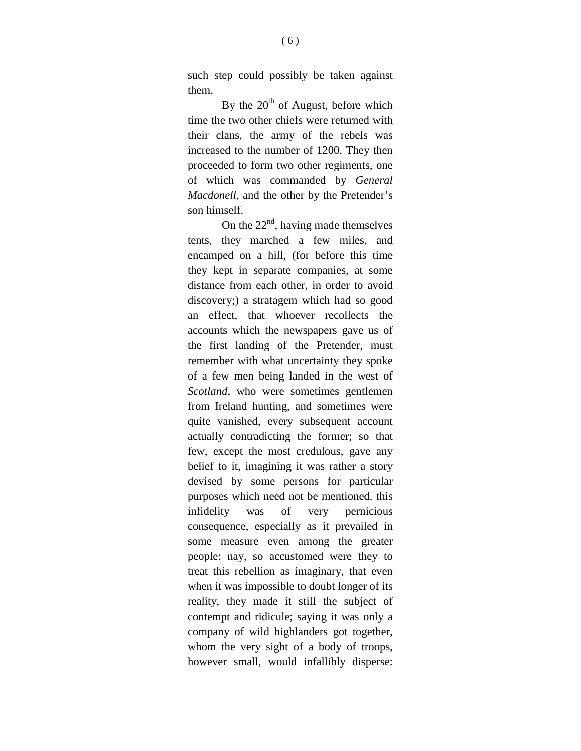such step could possibly be taken against them.

By the  $20<sup>th</sup>$  of August, before which time the two other chiefs were returned with their clans, the army of the rebels was increased to the number of 1200. They then proceeded to form two other regiments, one of which was commanded by *General Macdonell*, and the other by the Pretender's son himself.

On the  $22<sup>nd</sup>$ , having made themselves tents, they marched a few miles, and encamped on a hill, (for before this time they kept in separate companies, at some distance from each other, in order to avoid discovery;) a stratagem which had so good an effect, that whoever recollects the accounts which the newspapers gave us of the first landing of the Pretender, must remember with what uncertainty they spoke of a few men being landed in the west of *Scotland*, who were sometimes gentlemen from Ireland hunting, and sometimes were quite vanished, every subsequent account actually contradicting the former; so that few, except the most credulous, gave any belief to it, imagining it was rather a story devised by some persons for particular purposes which need not be mentioned. this infidelity was of very pernicious consequence, especially as it prevailed in some measure even among the greater people: nay, so accustomed were they to treat this rebellion as imaginary, that even when it was impossible to doubt longer of its reality, they made it still the subject of contempt and ridicule; saying it was only a company of wild highlanders got together, whom the very sight of a body of troops, however small, would infallibly disperse: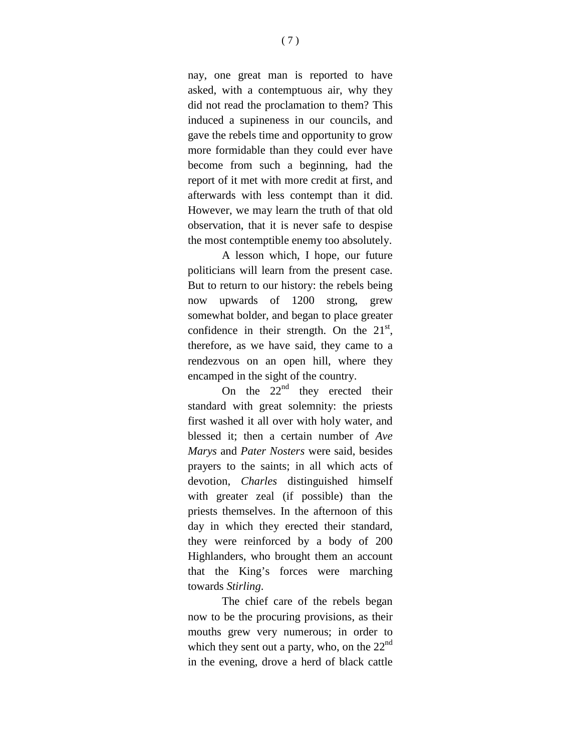nay, one great man is reported to have asked, with a contemptuous air, why they did not read the proclamation to them? This induced a supineness in our councils, and gave the rebels time and opportunity to grow more formidable than they could ever have become from such a beginning, had the report of it met with more credit at first, and afterwards with less contempt than it did. However, we may learn the truth of that old observation, that it is never safe to despise the most contemptible enemy too absolutely.

A lesson which, I hope, our future politicians will learn from the present case. But to return to our history: the rebels being now upwards of 1200 strong, grew somewhat bolder, and began to place greater confidence in their strength. On the  $21<sup>st</sup>$ , therefore, as we have said, they came to a rendezvous on an open hill, where they encamped in the sight of the country.

On the  $22<sup>nd</sup>$  they erected their standard with great solemnity: the priests first washed it all over with holy water, and blessed it; then a certain number of *Ave Marys* and *Pater Nosters* were said, besides prayers to the saints; in all which acts of devotion, *Charles* distinguished himself with greater zeal (if possible) than the priests themselves. In the afternoon of this day in which they erected their standard, they were reinforced by a body of 200 Highlanders, who brought them an account that the King's forces were marching towards *Stirling*.

The chief care of the rebels began now to be the procuring provisions, as their mouths grew very numerous; in order to which they sent out a party, who, on the  $22<sup>nd</sup>$ in the evening, drove a herd of black cattle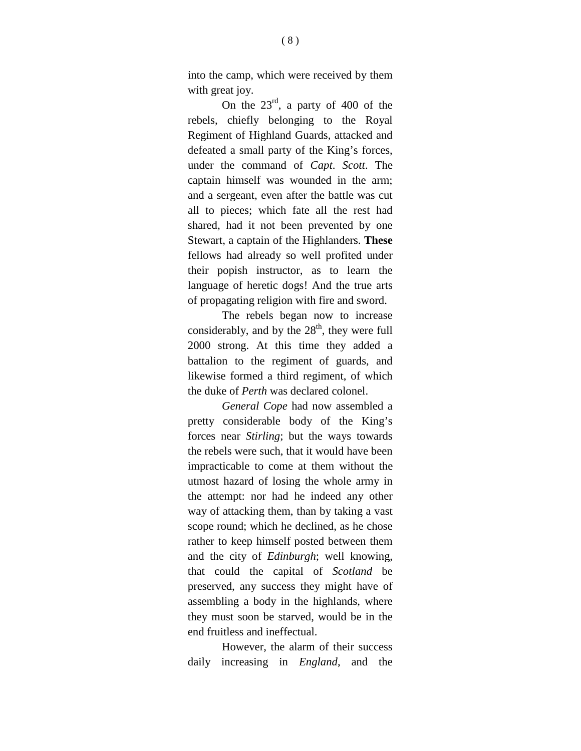into the camp, which were received by them with great joy.

On the  $23^{rd}$ , a party of 400 of the rebels, chiefly belonging to the Royal Regiment of Highland Guards, attacked and defeated a small party of the King's forces, under the command of *Capt*. *Scott*. The captain himself was wounded in the arm; and a sergeant, even after the battle was cut all to pieces; which fate all the rest had shared, had it not been prevented by one Stewart, a captain of the Highlanders. **These** fellows had already so well profited under their popish instructor, as to learn the language of heretic dogs! And the true arts of propagating religion with fire and sword.

The rebels began now to increase considerably, and by the  $28<sup>th</sup>$ , they were full 2000 strong. At this time they added a battalion to the regiment of guards, and likewise formed a third regiment, of which the duke of *Perth* was declared colonel.

*General Cope* had now assembled a pretty considerable body of the King's forces near *Stirling*; but the ways towards the rebels were such, that it would have been impracticable to come at them without the utmost hazard of losing the whole army in the attempt: nor had he indeed any other way of attacking them, than by taking a vast scope round; which he declined, as he chose rather to keep himself posted between them and the city of *Edinburgh*; well knowing, that could the capital of *Scotland* be preserved, any success they might have of assembling a body in the highlands, where they must soon be starved, would be in the end fruitless and ineffectual.

However, the alarm of their success daily increasing in *England*, and the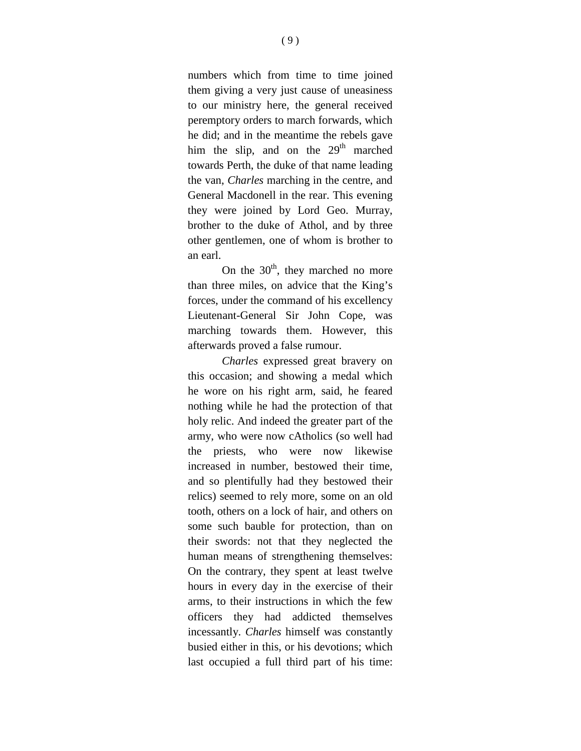numbers which from time to time joined them giving a very just cause of uneasiness to our ministry here, the general received peremptory orders to march forwards, which he did; and in the meantime the rebels gave him the slip, and on the  $29<sup>th</sup>$  marched towards Perth, the duke of that name leading the van, *Charles* marching in the centre, and General Macdonell in the rear. This evening they were joined by Lord Geo. Murray, brother to the duke of Athol, and by three other gentlemen, one of whom is brother to an earl.

On the  $30<sup>th</sup>$ , they marched no more than three miles, on advice that the King's forces, under the command of his excellency Lieutenant-General Sir John Cope, was marching towards them. However, this afterwards proved a false rumour.

*Charles* expressed great bravery on this occasion; and showing a medal which he wore on his right arm, said, he feared nothing while he had the protection of that holy relic. And indeed the greater part of the army, who were now cAtholics (so well had the priests, who were now likewise increased in number, bestowed their time, and so plentifully had they bestowed their relics) seemed to rely more, some on an old tooth, others on a lock of hair, and others on some such bauble for protection, than on their swords: not that they neglected the human means of strengthening themselves: On the contrary, they spent at least twelve hours in every day in the exercise of their arms, to their instructions in which the few officers they had addicted themselves incessantly. *Charles* himself was constantly busied either in this, or his devotions; which last occupied a full third part of his time: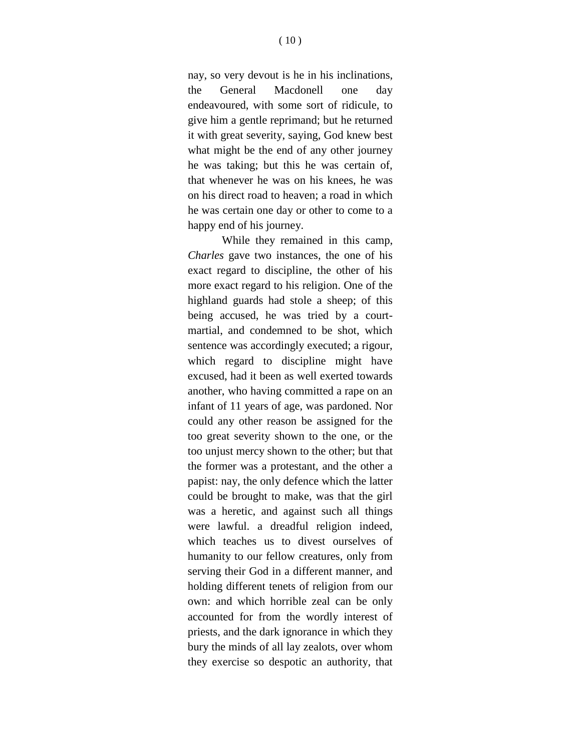nay, so very devout is he in his inclinations, the General Macdonell one day endeavoured, with some sort of ridicule, to give him a gentle reprimand; but he returned it with great severity, saying, God knew best what might be the end of any other journey he was taking; but this he was certain of, that whenever he was on his knees, he was on his direct road to heaven; a road in which he was certain one day or other to come to a happy end of his journey.

While they remained in this camp, *Charles* gave two instances, the one of his exact regard to discipline, the other of his more exact regard to his religion. One of the highland guards had stole a sheep; of this being accused, he was tried by a courtmartial, and condemned to be shot, which sentence was accordingly executed; a rigour, which regard to discipline might have excused, had it been as well exerted towards another, who having committed a rape on an infant of 11 years of age, was pardoned. Nor could any other reason be assigned for the too great severity shown to the one, or the too unjust mercy shown to the other; but that the former was a protestant, and the other a papist: nay, the only defence which the latter could be brought to make, was that the girl was a heretic, and against such all things were lawful. a dreadful religion indeed, which teaches us to divest ourselves of humanity to our fellow creatures, only from serving their God in a different manner, and holding different tenets of religion from our own: and which horrible zeal can be only accounted for from the wordly interest of priests, and the dark ignorance in which they bury the minds of all lay zealots, over whom they exercise so despotic an authority, that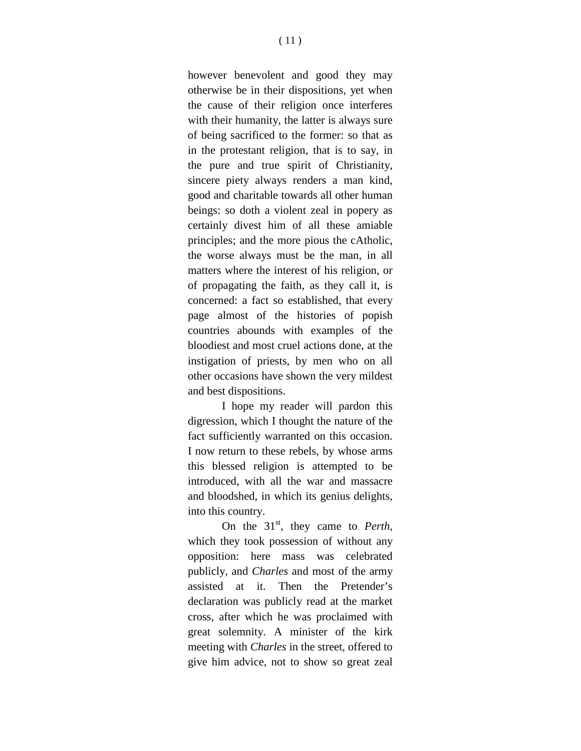however benevolent and good they may otherwise be in their dispositions, yet when the cause of their religion once interferes with their humanity, the latter is always sure of being sacrificed to the former: so that as in the protestant religion, that is to say, in the pure and true spirit of Christianity, sincere piety always renders a man kind, good and charitable towards all other human beings: so doth a violent zeal in popery as certainly divest him of all these amiable principles; and the more pious the cAtholic, the worse always must be the man, in all matters where the interest of his religion, or of propagating the faith, as they call it, is concerned: a fact so established, that every page almost of the histories of popish countries abounds with examples of the bloodiest and most cruel actions done, at the instigation of priests, by men who on all other occasions have shown the very mildest and best dispositions.

I hope my reader will pardon this digression, which I thought the nature of the fact sufficiently warranted on this occasion. I now return to these rebels, by whose arms this blessed religion is attempted to be introduced, with all the war and massacre and bloodshed, in which its genius delights, into this country.

On the 31<sup>st</sup>, they came to *Perth*, which they took possession of without any opposition: here mass was celebrated publicly, and *Charles* and most of the army assisted at it. Then the Pretender's declaration was publicly read at the market cross, after which he was proclaimed with great solemnity. A minister of the kirk meeting with *Charles* in the street, offered to give him advice, not to show so great zeal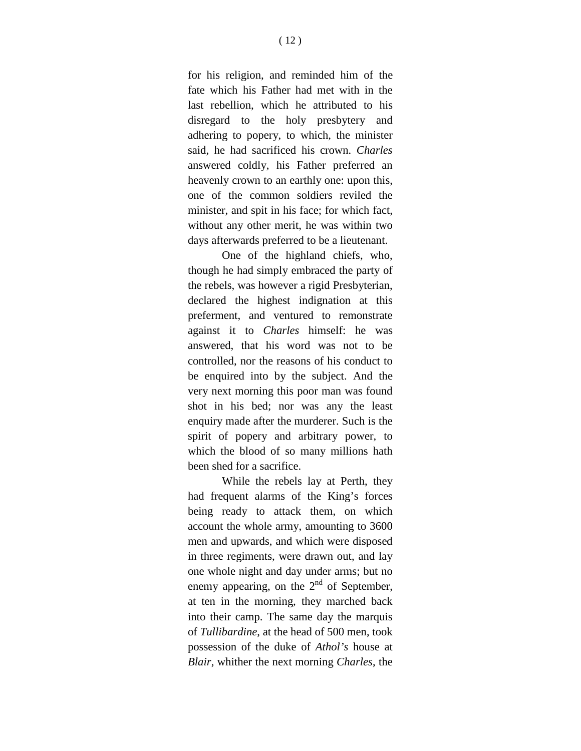for his religion, and reminded him of the fate which his Father had met with in the last rebellion, which he attributed to his disregard to the holy presbytery and adhering to popery, to which, the minister said, he had sacrificed his crown. *Charles* answered coldly, his Father preferred an heavenly crown to an earthly one: upon this, one of the common soldiers reviled the minister, and spit in his face; for which fact, without any other merit, he was within two days afterwards preferred to be a lieutenant.

One of the highland chiefs, who, though he had simply embraced the party of the rebels, was however a rigid Presbyterian, declared the highest indignation at this preferment, and ventured to remonstrate against it to *Charles* himself: he was answered, that his word was not to be controlled, nor the reasons of his conduct to be enquired into by the subject. And the very next morning this poor man was found shot in his bed; nor was any the least enquiry made after the murderer. Such is the spirit of popery and arbitrary power, to which the blood of so many millions hath been shed for a sacrifice.

While the rebels lay at Perth, they had frequent alarms of the King's forces being ready to attack them, on which account the whole army, amounting to 3600 men and upwards, and which were disposed in three regiments, were drawn out, and lay one whole night and day under arms; but no enemy appearing, on the  $2<sup>nd</sup>$  of September, at ten in the morning, they marched back into their camp. The same day the marquis of *Tullibardine*, at the head of 500 men, took possession of the duke of *Athol's* house at *Blair*, whither the next morning *Charles*, the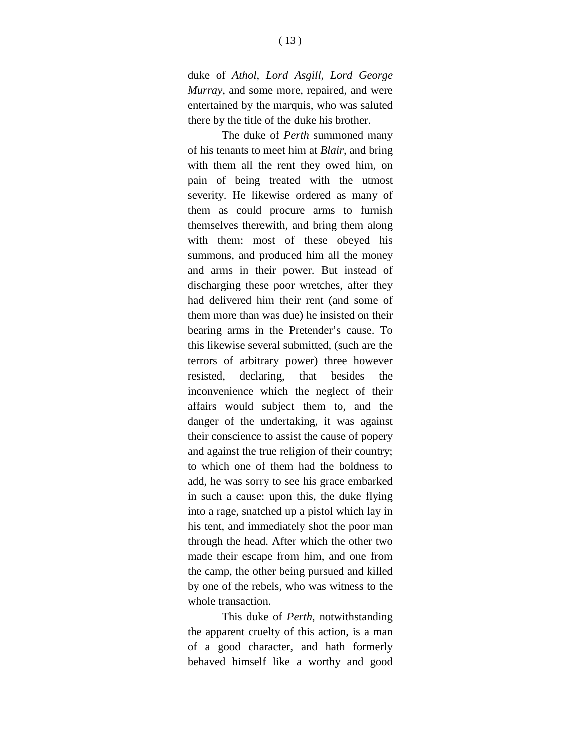duke of *Athol*, *Lord Asgill*, *Lord George Murray*, and some more, repaired, and were entertained by the marquis, who was saluted there by the title of the duke his brother.

The duke of *Perth* summoned many of his tenants to meet him at *Blair*, and bring with them all the rent they owed him, on pain of being treated with the utmost severity. He likewise ordered as many of them as could procure arms to furnish themselves therewith, and bring them along with them: most of these obeyed his summons, and produced him all the money and arms in their power. But instead of discharging these poor wretches, after they had delivered him their rent (and some of them more than was due) he insisted on their bearing arms in the Pretender's cause. To this likewise several submitted, (such are the terrors of arbitrary power) three however resisted, declaring, that besides the inconvenience which the neglect of their affairs would subject them to, and the danger of the undertaking, it was against their conscience to assist the cause of popery and against the true religion of their country; to which one of them had the boldness to add, he was sorry to see his grace embarked in such a cause: upon this, the duke flying into a rage, snatched up a pistol which lay in his tent, and immediately shot the poor man through the head. After which the other two made their escape from him, and one from the camp, the other being pursued and killed by one of the rebels, who was witness to the whole transaction.

This duke of *Perth*, notwithstanding the apparent cruelty of this action, is a man of a good character, and hath formerly behaved himself like a worthy and good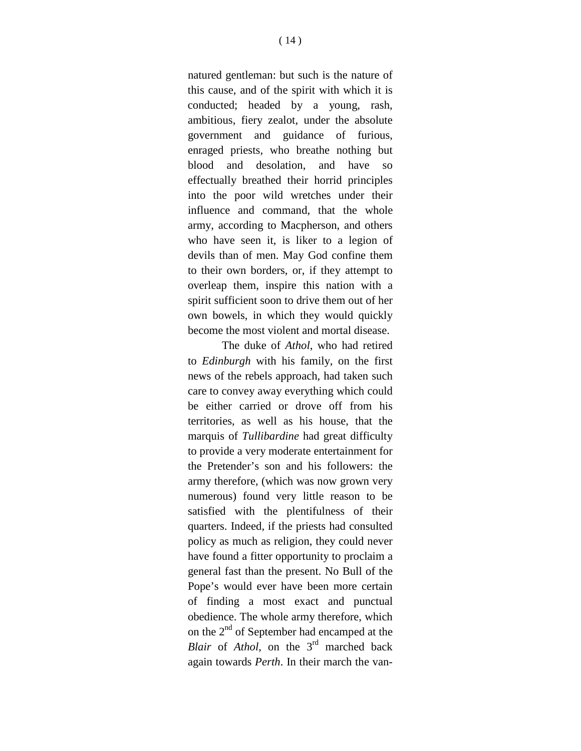natured gentleman: but such is the nature of this cause, and of the spirit with which it is conducted; headed by a young, rash, ambitious, fiery zealot, under the absolute government and guidance of furious, enraged priests, who breathe nothing but blood and desolation, and have so effectually breathed their horrid principles into the poor wild wretches under their influence and command, that the whole army, according to Macpherson, and others who have seen it, is liker to a legion of devils than of men. May God confine them to their own borders, or, if they attempt to overleap them, inspire this nation with a spirit sufficient soon to drive them out of her own bowels, in which they would quickly become the most violent and mortal disease.

The duke of *Athol*, who had retired to *Edinburgh* with his family, on the first news of the rebels approach, had taken such care to convey away everything which could be either carried or drove off from his territories, as well as his house, that the marquis of *Tullibardine* had great difficulty to provide a very moderate entertainment for the Pretender's son and his followers: the army therefore, (which was now grown very numerous) found very little reason to be satisfied with the plentifulness of their quarters. Indeed, if the priests had consulted policy as much as religion, they could never have found a fitter opportunity to proclaim a general fast than the present. No Bull of the Pope's would ever have been more certain of finding a most exact and punctual obedience. The whole army therefore, which on the  $2<sup>nd</sup>$  of September had encamped at the *Blair* of *Athol*, on the 3<sup>rd</sup> marched back again towards *Perth*. In their march the van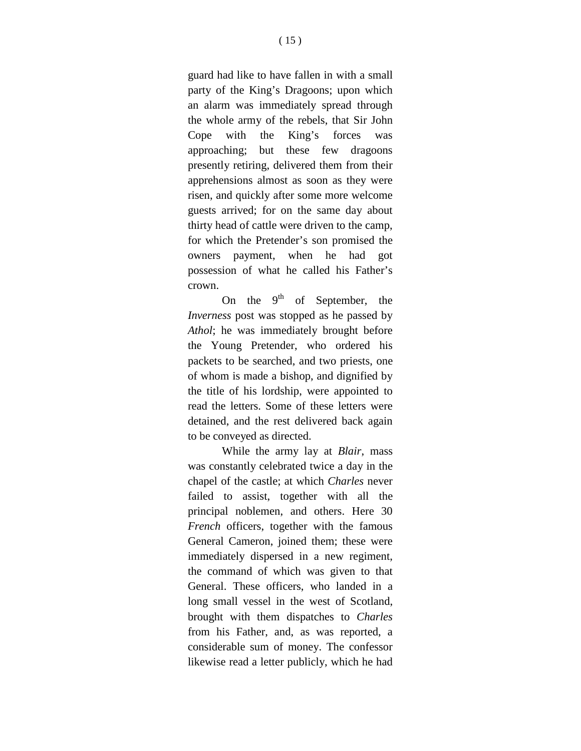guard had like to have fallen in with a small party of the King's Dragoons; upon which an alarm was immediately spread through the whole army of the rebels, that Sir John Cope with the King's forces was approaching; but these few dragoons presently retiring, delivered them from their apprehensions almost as soon as they were risen, and quickly after some more welcome guests arrived; for on the same day about thirty head of cattle were driven to the camp, for which the Pretender's son promised the owners payment, when he had got possession of what he called his Father's crown.

On the  $9<sup>th</sup>$  of September, the *Inverness* post was stopped as he passed by *Athol*; he was immediately brought before the Young Pretender, who ordered his packets to be searched, and two priests, one of whom is made a bishop, and dignified by the title of his lordship, were appointed to read the letters. Some of these letters were detained, and the rest delivered back again to be conveyed as directed.

While the army lay at *Blair*, mass was constantly celebrated twice a day in the chapel of the castle; at which *Charles* never failed to assist, together with all the principal noblemen, and others. Here 30 *French* officers, together with the famous General Cameron, joined them; these were immediately dispersed in a new regiment, the command of which was given to that General. These officers, who landed in a long small vessel in the west of Scotland, brought with them dispatches to *Charles* from his Father, and, as was reported, a considerable sum of money. The confessor likewise read a letter publicly, which he had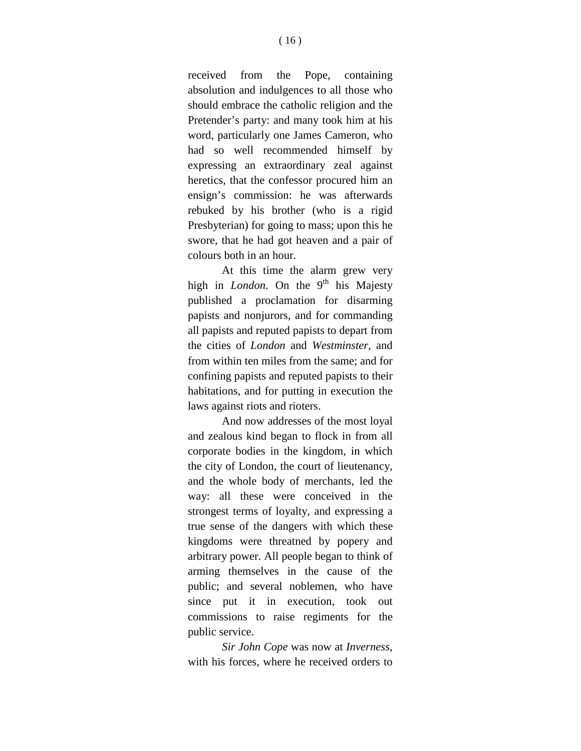received from the Pope, containing absolution and indulgences to all those who should embrace the catholic religion and the Pretender's party: and many took him at his word, particularly one James Cameron, who had so well recommended himself by expressing an extraordinary zeal against heretics, that the confessor procured him an ensign's commission: he was afterwards rebuked by his brother (who is a rigid Presbyterian) for going to mass; upon this he swore, that he had got heaven and a pair of colours both in an hour.

At this time the alarm grew very high in *London*. On the 9<sup>th</sup> his Majesty published a proclamation for disarming papists and nonjurors, and for commanding all papists and reputed papists to depart from the cities of *London* and *Westminster*, and from within ten miles from the same; and for confining papists and reputed papists to their habitations, and for putting in execution the laws against riots and rioters.

And now addresses of the most loyal and zealous kind began to flock in from all corporate bodies in the kingdom, in which the city of London, the court of lieutenancy, and the whole body of merchants, led the way: all these were conceived in the strongest terms of loyalty, and expressing a true sense of the dangers with which these kingdoms were threatned by popery and arbitrary power. All people began to think of arming themselves in the cause of the public; and several noblemen, who have since put it in execution, took out commissions to raise regiments for the public service.

*Sir John Cope* was now at *Inverness*, with his forces, where he received orders to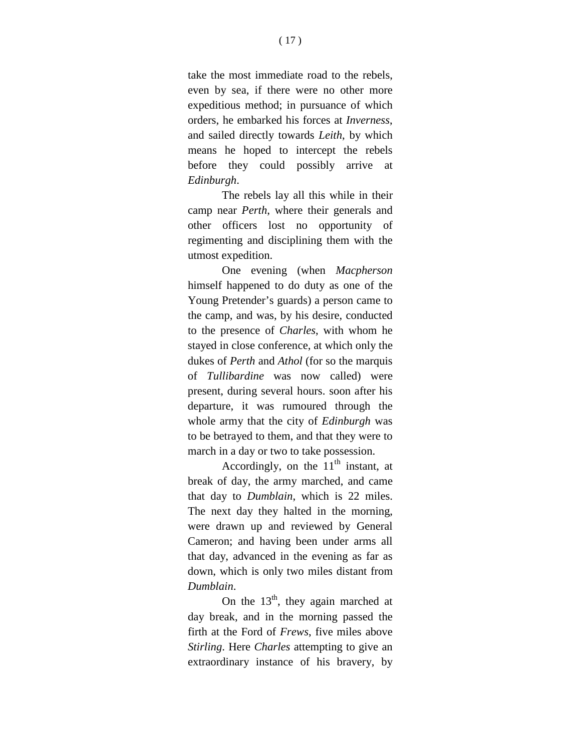take the most immediate road to the rebels, even by sea, if there were no other more expeditious method; in pursuance of which orders, he embarked his forces at *Inverness*, and sailed directly towards *Leith*, by which means he hoped to intercept the rebels before they could possibly arrive at *Edinburgh*.

The rebels lay all this while in their camp near *Perth*, where their generals and other officers lost no opportunity of regimenting and disciplining them with the utmost expedition.

One evening (when *Macpherson* himself happened to do duty as one of the Young Pretender's guards) a person came to the camp, and was, by his desire, conducted to the presence of *Charles*, with whom he stayed in close conference, at which only the dukes of *Perth* and *Athol* (for so the marquis of *Tullibardine* was now called) were present, during several hours. soon after his departure, it was rumoured through the whole army that the city of *Edinburgh* was to be betrayed to them, and that they were to march in a day or two to take possession.

Accordingly, on the  $11<sup>th</sup>$  instant, at break of day, the army marched, and came that day to *Dumblain*, which is 22 miles. The next day they halted in the morning, were drawn up and reviewed by General Cameron; and having been under arms all that day, advanced in the evening as far as down, which is only two miles distant from *Dumblain*.

On the  $13<sup>th</sup>$ , they again marched at day break, and in the morning passed the firth at the Ford of *Frews*, five miles above *Stirling*. Here *Charles* attempting to give an extraordinary instance of his bravery, by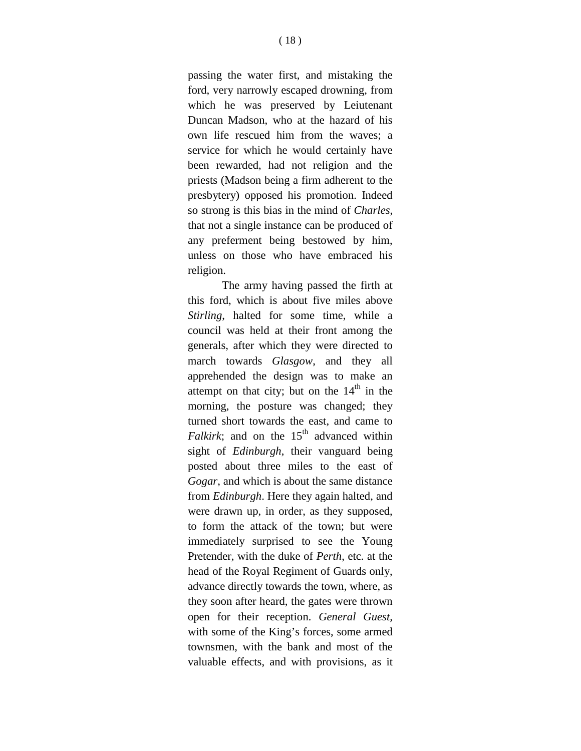passing the water first, and mistaking the ford, very narrowly escaped drowning, from which he was preserved by Leiutenant Duncan Madson, who at the hazard of his own life rescued him from the waves; a service for which he would certainly have been rewarded, had not religion and the priests (Madson being a firm adherent to the presbytery) opposed his promotion. Indeed so strong is this bias in the mind of *Charles*, that not a single instance can be produced of any preferment being bestowed by him, unless on those who have embraced his religion.

The army having passed the firth at this ford, which is about five miles above *Stirling*, halted for some time, while a council was held at their front among the generals, after which they were directed to march towards *Glasgow*, and they all apprehended the design was to make an attempt on that city; but on the  $14<sup>th</sup>$  in the morning, the posture was changed; they turned short towards the east, and came to *Falkirk*; and on the  $15<sup>th</sup>$  advanced within sight of *Edinburgh*, their vanguard being posted about three miles to the east of *Gogar*, and which is about the same distance from *Edinburgh*. Here they again halted, and were drawn up, in order, as they supposed, to form the attack of the town; but were immediately surprised to see the Young Pretender, with the duke of *Perth*, etc. at the head of the Royal Regiment of Guards only, advance directly towards the town, where, as they soon after heard, the gates were thrown open for their reception. *General Guest,* with some of the King's forces, some armed townsmen, with the bank and most of the valuable effects, and with provisions, as it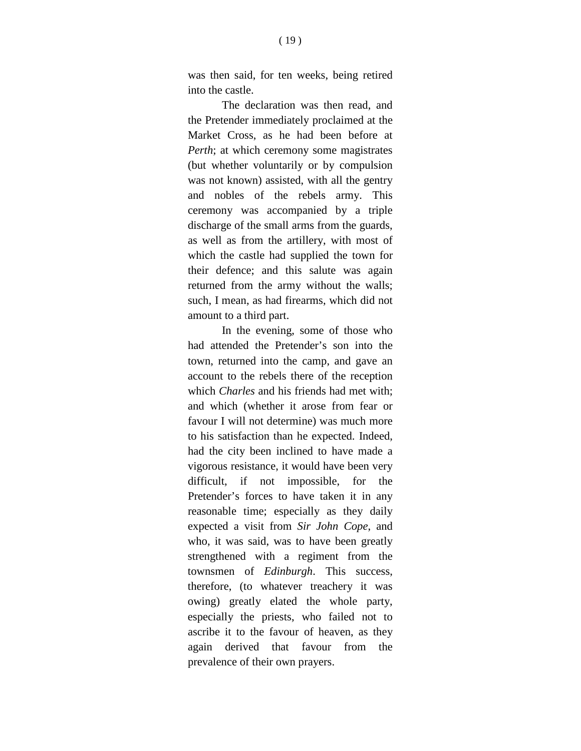was then said, for ten weeks, being retired into the castle.

The declaration was then read, and the Pretender immediately proclaimed at the Market Cross, as he had been before at *Perth*; at which ceremony some magistrates (but whether voluntarily or by compulsion was not known) assisted, with all the gentry and nobles of the rebels army. This ceremony was accompanied by a triple discharge of the small arms from the guards, as well as from the artillery, with most of which the castle had supplied the town for their defence; and this salute was again returned from the army without the walls; such, I mean, as had firearms, which did not amount to a third part.

In the evening, some of those who had attended the Pretender's son into the town, returned into the camp, and gave an account to the rebels there of the reception which *Charles* and his friends had met with; and which (whether it arose from fear or favour I will not determine) was much more to his satisfaction than he expected. Indeed, had the city been inclined to have made a vigorous resistance, it would have been very difficult, if not impossible, for the Pretender's forces to have taken it in any reasonable time; especially as they daily expected a visit from *Sir John Cope*, and who, it was said, was to have been greatly strengthened with a regiment from the townsmen of *Edinburgh*. This success, therefore, (to whatever treachery it was owing) greatly elated the whole party, especially the priests, who failed not to ascribe it to the favour of heaven, as they again derived that favour from the prevalence of their own prayers.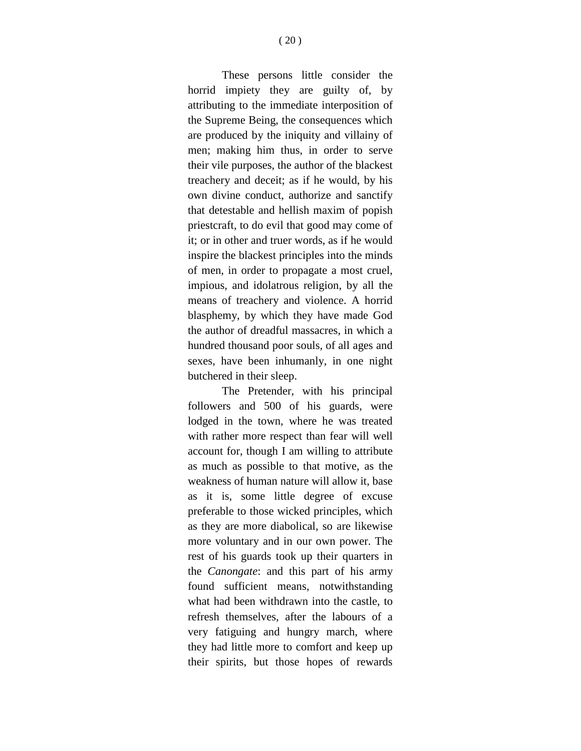These persons little consider the horrid impiety they are guilty of, by attributing to the immediate interposition of the Supreme Being, the consequences which are produced by the iniquity and villainy of men; making him thus, in order to serve their vile purposes, the author of the blackest treachery and deceit; as if he would, by his own divine conduct, authorize and sanctify that detestable and hellish maxim of popish priestcraft, to do evil that good may come of it; or in other and truer words, as if he would inspire the blackest principles into the minds of men, in order to propagate a most cruel, impious, and idolatrous religion, by all the means of treachery and violence. A horrid blasphemy, by which they have made God the author of dreadful massacres, in which a hundred thousand poor souls, of all ages and sexes, have been inhumanly, in one night butchered in their sleep.

The Pretender, with his principal followers and 500 of his guards, were lodged in the town, where he was treated with rather more respect than fear will well account for, though I am willing to attribute as much as possible to that motive, as the weakness of human nature will allow it, base as it is, some little degree of excuse preferable to those wicked principles, which as they are more diabolical, so are likewise more voluntary and in our own power. The rest of his guards took up their quarters in the *Canongate*: and this part of his army found sufficient means, notwithstanding what had been withdrawn into the castle, to refresh themselves, after the labours of a very fatiguing and hungry march, where they had little more to comfort and keep up their spirits, but those hopes of rewards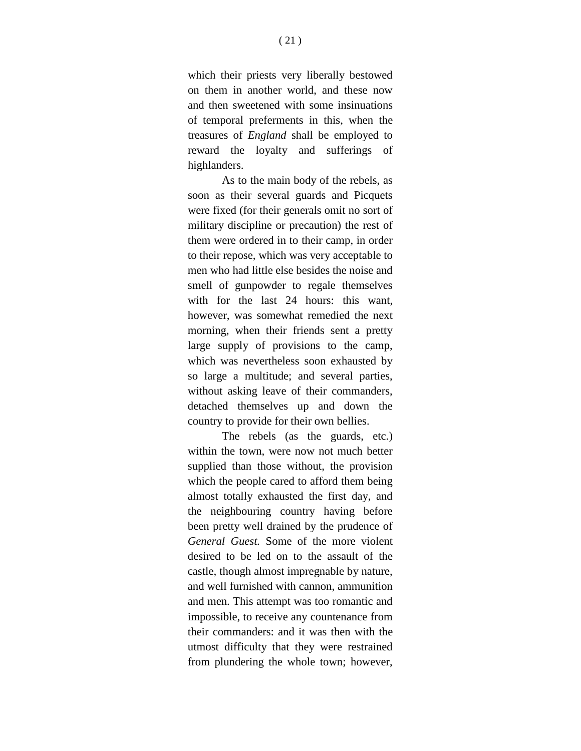which their priests very liberally bestowed on them in another world, and these now and then sweetened with some insinuations of temporal preferments in this, when the treasures of *England* shall be employed to reward the loyalty and sufferings of highlanders.

As to the main body of the rebels, as soon as their several guards and Picquets were fixed (for their generals omit no sort of military discipline or precaution) the rest of them were ordered in to their camp, in order to their repose, which was very acceptable to men who had little else besides the noise and smell of gunpowder to regale themselves with for the last 24 hours: this want, however, was somewhat remedied the next morning, when their friends sent a pretty large supply of provisions to the camp, which was nevertheless soon exhausted by so large a multitude; and several parties, without asking leave of their commanders, detached themselves up and down the country to provide for their own bellies.

The rebels (as the guards, etc.) within the town, were now not much better supplied than those without, the provision which the people cared to afford them being almost totally exhausted the first day, and the neighbouring country having before been pretty well drained by the prudence of *General Guest.* Some of the more violent desired to be led on to the assault of the castle, though almost impregnable by nature, and well furnished with cannon, ammunition and men. This attempt was too romantic and impossible, to receive any countenance from their commanders: and it was then with the utmost difficulty that they were restrained from plundering the whole town; however,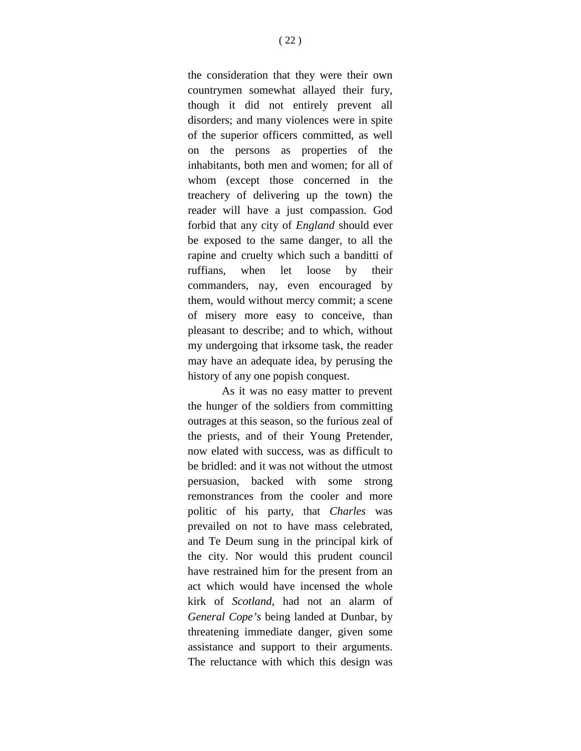the consideration that they were their own countrymen somewhat allayed their fury, though it did not entirely prevent all disorders; and many violences were in spite of the superior officers committed, as well on the persons as properties of the inhabitants, both men and women; for all of whom (except those concerned in the treachery of delivering up the town) the reader will have a just compassion. God forbid that any city of *England* should ever be exposed to the same danger, to all the rapine and cruelty which such a banditti of ruffians, when let loose by their commanders, nay, even encouraged by them, would without mercy commit; a scene of misery more easy to conceive, than pleasant to describe; and to which, without my undergoing that irksome task, the reader may have an adequate idea, by perusing the history of any one popish conquest.

As it was no easy matter to prevent the hunger of the soldiers from committing outrages at this season, so the furious zeal of the priests, and of their Young Pretender, now elated with success, was as difficult to be bridled: and it was not without the utmost persuasion, backed with some strong remonstrances from the cooler and more politic of his party, that *Charles* was prevailed on not to have mass celebrated, and Te Deum sung in the principal kirk of the city. Nor would this prudent council have restrained him for the present from an act which would have incensed the whole kirk of *Scotland*, had not an alarm of *General Cope's* being landed at Dunbar, by threatening immediate danger, given some assistance and support to their arguments. The reluctance with which this design was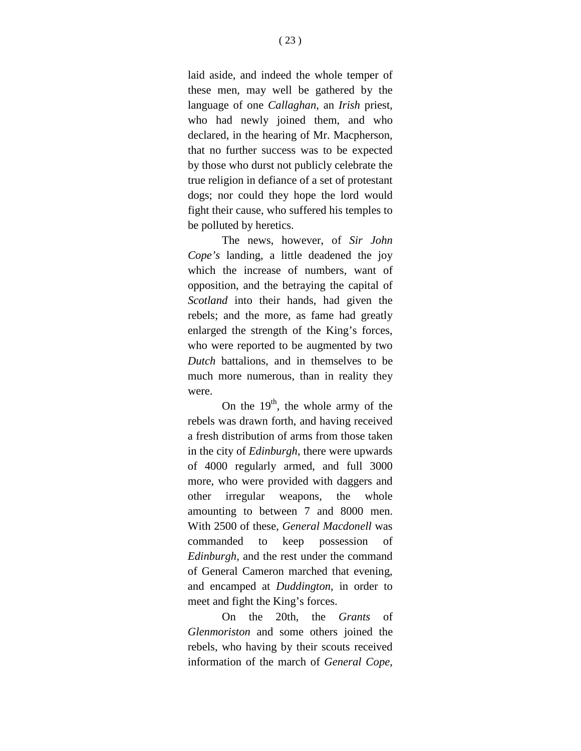laid aside, and indeed the whole temper of these men, may well be gathered by the language of one *Callaghan*, an *Irish* priest, who had newly joined them, and who declared, in the hearing of Mr. Macpherson, that no further success was to be expected by those who durst not publicly celebrate the true religion in defiance of a set of protestant dogs; nor could they hope the lord would fight their cause, who suffered his temples to be polluted by heretics.

The news, however, of *Sir John Cope's* landing, a little deadened the joy which the increase of numbers, want of opposition, and the betraying the capital of *Scotland* into their hands, had given the rebels; and the more, as fame had greatly enlarged the strength of the King's forces, who were reported to be augmented by two *Dutch* battalions, and in themselves to be much more numerous, than in reality they were.

On the  $19<sup>th</sup>$ , the whole army of the rebels was drawn forth, and having received a fresh distribution of arms from those taken in the city of *Edinburgh*, there were upwards of 4000 regularly armed, and full 3000 more, who were provided with daggers and other irregular weapons, the whole amounting to between 7 and 8000 men. With 2500 of these, *General Macdonell* was commanded to keep possession of *Edinburgh*, and the rest under the command of General Cameron marched that evening, and encamped at *Duddington*, in order to meet and fight the King's forces.

On the 20th, the *Grants* of *Glenmoriston* and some others joined the rebels, who having by their scouts received information of the march of *General Cope*,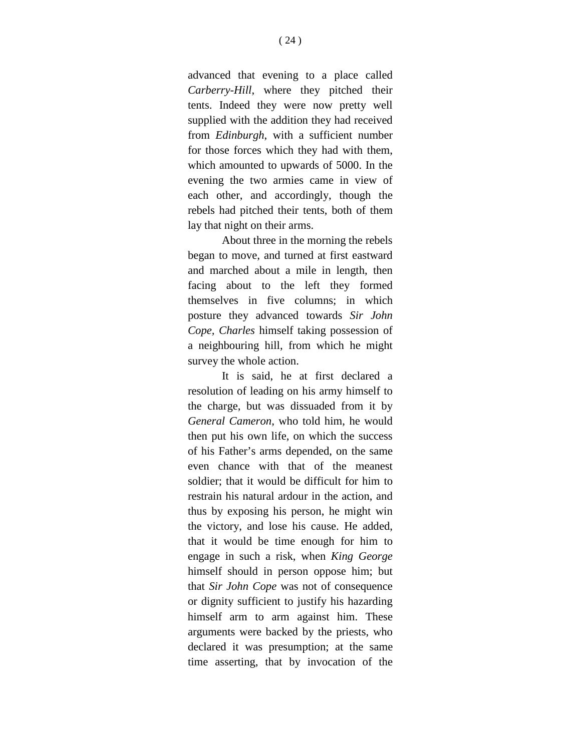advanced that evening to a place called *Carberry-Hill*, where they pitched their tents. Indeed they were now pretty well supplied with the addition they had received from *Edinburgh*, with a sufficient number for those forces which they had with them, which amounted to upwards of 5000. In the evening the two armies came in view of each other, and accordingly, though the rebels had pitched their tents, both of them lay that night on their arms.

About three in the morning the rebels began to move, and turned at first eastward and marched about a mile in length, then facing about to the left they formed themselves in five columns; in which posture they advanced towards *Sir John Cope, Charles* himself taking possession of a neighbouring hill, from which he might survey the whole action.

It is said, he at first declared a resolution of leading on his army himself to the charge, but was dissuaded from it by *General Cameron*, who told him, he would then put his own life, on which the success of his Father's arms depended, on the same even chance with that of the meanest soldier; that it would be difficult for him to restrain his natural ardour in the action, and thus by exposing his person, he might win the victory, and lose his cause. He added, that it would be time enough for him to engage in such a risk, when *King George* himself should in person oppose him; but that *Sir John Cope* was not of consequence or dignity sufficient to justify his hazarding himself arm to arm against him. These arguments were backed by the priests, who declared it was presumption; at the same time asserting, that by invocation of the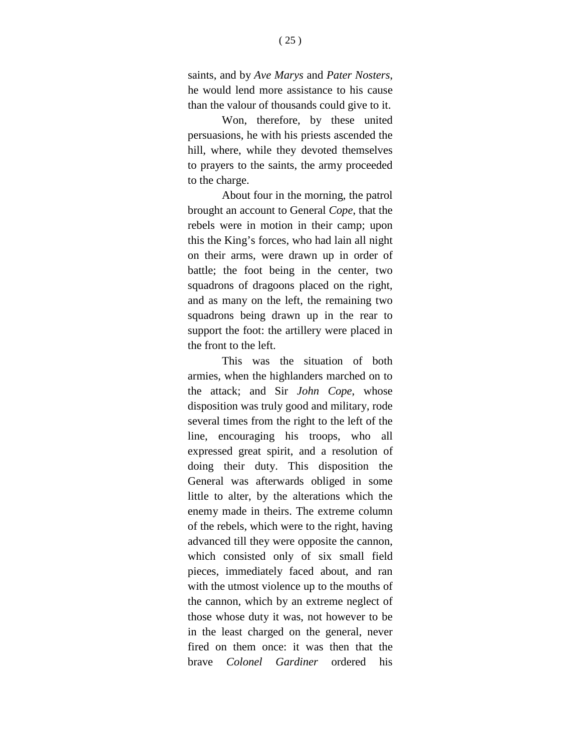saints, and by *Ave Marys* and *Pater Nosters*, he would lend more assistance to his cause than the valour of thousands could give to it.

Won, therefore, by these united persuasions, he with his priests ascended the hill, where, while they devoted themselves to prayers to the saints, the army proceeded to the charge.

About four in the morning, the patrol brought an account to General *Cope*, that the rebels were in motion in their camp; upon this the King's forces, who had lain all night on their arms, were drawn up in order of battle; the foot being in the center, two squadrons of dragoons placed on the right, and as many on the left, the remaining two squadrons being drawn up in the rear to support the foot: the artillery were placed in the front to the left.

This was the situation of both armies, when the highlanders marched on to the attack; and Sir *John Cope*, whose disposition was truly good and military, rode several times from the right to the left of the line, encouraging his troops, who all expressed great spirit, and a resolution of doing their duty. This disposition the General was afterwards obliged in some little to alter, by the alterations which the enemy made in theirs. The extreme column of the rebels, which were to the right, having advanced till they were opposite the cannon, which consisted only of six small field pieces, immediately faced about, and ran with the utmost violence up to the mouths of the cannon, which by an extreme neglect of those whose duty it was, not however to be in the least charged on the general, never fired on them once: it was then that the brave *Colonel Gardiner* ordered his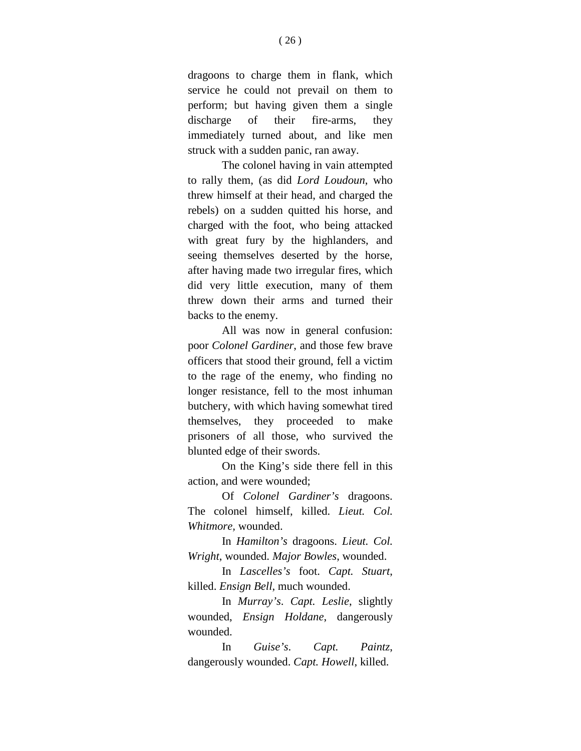dragoons to charge them in flank, which service he could not prevail on them to perform; but having given them a single discharge of their fire-arms, they immediately turned about, and like men struck with a sudden panic, ran away.

The colonel having in vain attempted to rally them, (as did *Lord Loudoun*, who threw himself at their head, and charged the rebels) on a sudden quitted his horse, and charged with the foot, who being attacked with great fury by the highlanders, and seeing themselves deserted by the horse, after having made two irregular fires, which did very little execution, many of them threw down their arms and turned their backs to the enemy.

All was now in general confusion: poor *Colonel Gardiner*, and those few brave officers that stood their ground, fell a victim to the rage of the enemy, who finding no longer resistance, fell to the most inhuman butchery, with which having somewhat tired themselves, they proceeded to make prisoners of all those, who survived the blunted edge of their swords.

On the King's side there fell in this action, and were wounded;

Of *Colonel Gardiner's* dragoons. The colonel himself, killed. *Lieut. Col. Whitmore,* wounded.

In *Hamilton's* dragoons. *Lieut. Col. Wright*, wounded. *Major Bowles*, wounded.

In *Lascelles's* foot. *Capt. Stuart*, killed. *Ensign Bell*, much wounded.

In *Murray's*. *Capt. Leslie*, slightly wounded, *Ensign Holdane*, dangerously wounded.

In *Guise's*. *Capt. Paintz*, dangerously wounded. *Capt. Howell*, killed.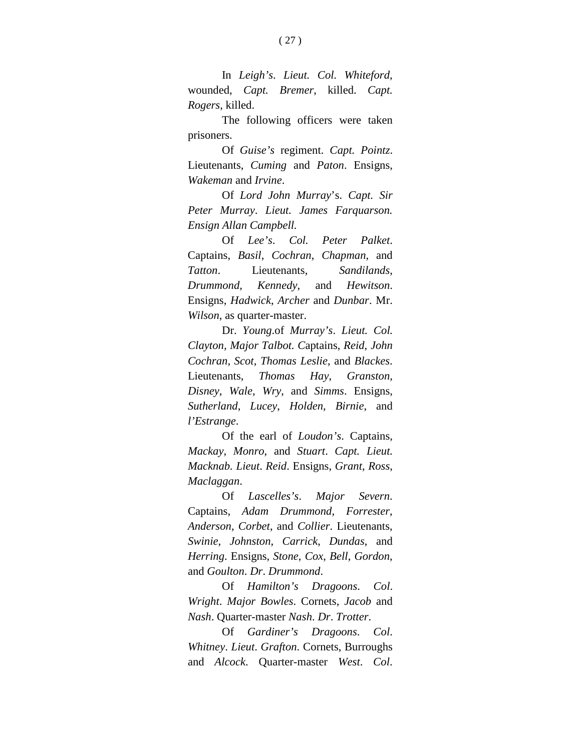In *Leigh's*. *Lieut. Col. Whiteford*, wounded, *Capt. Bremer*, killed. *Capt. Rogers*, killed.

The following officers were taken prisoners.

Of *Guise's* regiment. *Capt. Pointz*. Lieutenants, *Cuming* and *Paton*. Ensigns, *Wakeman* and *Irvine*.

Of *Lord John Murray*'s. *Capt. Sir Peter Murray*. *Lieut. James Farquarson. Ensign Allan Campbell.*

Of *Lee's*. *Col. Peter Palket*. Captains, *Basil, Cochran*, *Chapman*, and *Tatton*. Lieutenants, *Sandilands*, *Drummond*, *Kennedy*, and *Hewitson*. Ensigns, *Hadwick*, *Archer* and *Dunbar*. Mr. *Wilson*, as quarter-master.

Dr. *Young*.of *Murray's*. *Lieut. Col. Clayton, Major Talbot. C*aptains, *Reid*, *John Cochran*, *Scot*, *Thomas Leslie*, and *Blackes*. Lieutenants, *Thomas Hay*, *Granston*, *Disney*, *Wale*, *Wry*, and *Simms*. Ensigns, *Sutherland*, *Lucey*, *Holden*, *Birnie*, and *l'Estrange*.

Of the earl of *Loudon's*. Captains, *Mackay*, *Monro*, and *Stuart*. *Capt. Lieut. Macknab. Lieut*. *Reid*. Ensigns, *Grant*, *Ross*, *Maclaggan*.

Of *Lascelles's*. *Major Severn*. Captains, *Adam Drummond*, *Forrester*, *Anderson*, *Corbet*, and *Collier*. Lieutenants, *Swinie*, *Johnston*, *Carrick*, *Dundas*, and *Herring*. Ensigns, *Stone*, *Cox*, *Bell*, *Gordon*, and *Goulton*. *Dr*. *Drummond*.

Of *Hamilton's Dragoons*. *Col*. *Wright*. *Major Bowles*. Cornets, *Jacob* and *Nash*. Quarter-master *Nash*. *Dr*. *Trotter*.

Of *Gardiner's Dragoons*. *Col*. *Whitney*. *Lieut*. *Grafton*. Cornets, Burroughs and *Alcock*. Quarter-master *West*. *Col*.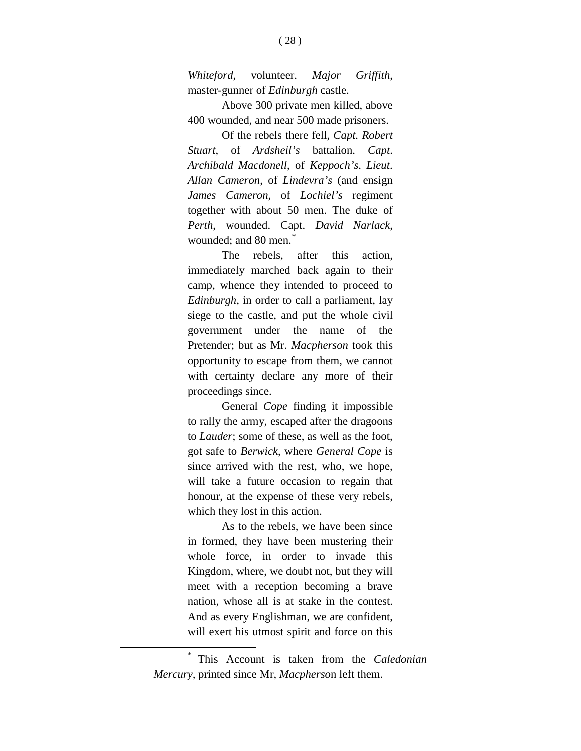*Whiteford*, volunteer. *Major Griffith*, master-gunner of *Edinburgh* castle.

Above 300 private men killed, above 400 wounded, and near 500 made prisoners.

Of the rebels there fell, *Capt. Robert Stuart*, of *Ardsheil's* battalion. *Capt*. *Archibald Macdonell*, of *Keppoch's*. *Lieut*. *Allan Cameron*, of *Lindevra's* (and ensign *James Cameron*, of *Lochiel's* regiment together with about 50 men. The duke of *Perth*, wounded. Capt. *David Narlack*, wounded: and 80 men.<sup>[\\*](#page-29-0)</sup>

The rebels, after this action, immediately marched back again to their camp, whence they intended to proceed to *Edinburgh*, in order to call a parliament, lay siege to the castle, and put the whole civil government under the name of the Pretender; but as Mr. *Macpherson* took this opportunity to escape from them, we cannot with certainty declare any more of their proceedings since.

General *Cope* finding it impossible to rally the army, escaped after the dragoons to *Lauder*; some of these, as well as the foot, got safe to *Berwick*, where *General Cope* is since arrived with the rest, who, we hope, will take a future occasion to regain that honour, at the expense of these very rebels, which they lost in this action.

As to the rebels, we have been since in formed, they have been mustering their whole force, in order to invade this Kingdom, where, we doubt not, but they will meet with a reception becoming a brave nation, whose all is at stake in the contest. And as every Englishman, we are confident, will exert his utmost spirit and force on this

<span id="page-29-0"></span>\* This Account is taken from the *Caledonian Mercury,* printed since Mr, *Macpherso*n left them.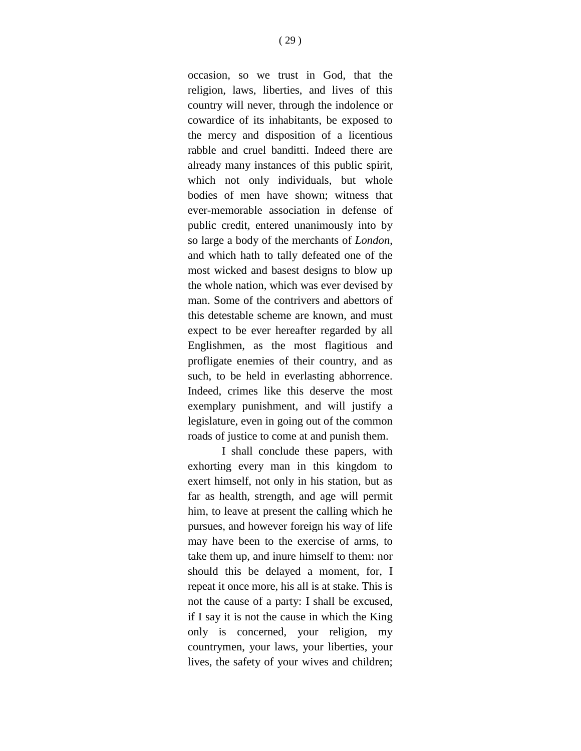occasion, so we trust in God, that the religion, laws, liberties, and lives of this country will never, through the indolence or cowardice of its inhabitants, be exposed to the mercy and disposition of a licentious rabble and cruel banditti. Indeed there are already many instances of this public spirit, which not only individuals, but whole bodies of men have shown; witness that ever-memorable association in defense of public credit, entered unanimously into by so large a body of the merchants of *London*, and which hath to tally defeated one of the most wicked and basest designs to blow up the whole nation, which was ever devised by man. Some of the contrivers and abettors of this detestable scheme are known, and must expect to be ever hereafter regarded by all Englishmen, as the most flagitious and profligate enemies of their country, and as such, to be held in everlasting abhorrence. Indeed, crimes like this deserve the most exemplary punishment, and will justify a legislature, even in going out of the common roads of justice to come at and punish them.

I shall conclude these papers, with exhorting every man in this kingdom to exert himself, not only in his station, but as far as health, strength, and age will permit him, to leave at present the calling which he pursues, and however foreign his way of life may have been to the exercise of arms, to take them up, and inure himself to them: nor should this be delayed a moment, for, I repeat it once more, his all is at stake. This is not the cause of a party: I shall be excused, if I say it is not the cause in which the King only is concerned, your religion, my countrymen, your laws, your liberties, your lives, the safety of your wives and children;